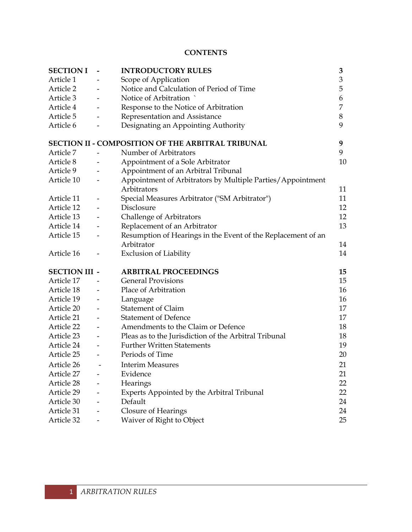#### **CONTENTS**

| <b>SECTION I</b>     | <b>INTRODUCTORY RULES</b>                                    | 3              |
|----------------------|--------------------------------------------------------------|----------------|
| Article 1            | Scope of Application                                         | $\mathfrak{Z}$ |
| Article 2            | Notice and Calculation of Period of Time                     | 5              |
| Article 3            | Notice of Arbitration                                        | 6              |
| Article 4            | Response to the Notice of Arbitration                        | 7              |
| Article 5            | Representation and Assistance                                | 8              |
| Article 6            | Designating an Appointing Authority                          | 9              |
|                      | <b>SECTION II - COMPOSITION OF THE ARBITRAL TRIBUNAL</b>     | 9              |
| Article 7            | Number of Arbitrators                                        | 9              |
| Article 8            | Appointment of a Sole Arbitrator                             | 10             |
| Article 9            | Appointment of an Arbitral Tribunal                          |                |
| Article 10           | Appointment of Arbitrators by Multiple Parties/Appointment   |                |
|                      | Arbitrators                                                  | 11             |
| Article 11           | Special Measures Arbitrator ("SM Arbitrator")                | 11             |
| Article 12           | Disclosure                                                   | 12             |
| Article 13           | Challenge of Arbitrators                                     | 12             |
| Article 14           | Replacement of an Arbitrator                                 | 13             |
| Article 15           | Resumption of Hearings in the Event of the Replacement of an |                |
|                      | Arbitrator                                                   | 14             |
| Article 16           | <b>Exclusion of Liability</b>                                | 14             |
| <b>SECTION III -</b> | <b>ARBITRAL PROCEEDINGS</b>                                  | 15             |
| Article 17           | <b>General Provisions</b>                                    | 15             |
| Article 18           | Place of Arbitration                                         | 16             |
| Article 19           | Language                                                     | 16             |
| Article 20           | <b>Statement of Claim</b>                                    | 17             |
| Article 21           | <b>Statement of Defence</b>                                  | 17             |
| Article 22           | Amendments to the Claim or Defence                           | 18             |
| Article 23           | Pleas as to the Jurisdiction of the Arbitral Tribunal        | 18             |
| Article 24           | <b>Further Written Statements</b>                            | 19             |
| Article 25           | Periods of Time                                              | 20             |
| Article 26           | <b>Interim Measures</b>                                      | 21             |
| Article 27           | Evidence                                                     | 21             |
| Article 28           | Hearings                                                     | 22             |
| Article 29           | Experts Appointed by the Arbitral Tribunal                   | 22             |
| Article 30           | Default                                                      | 24             |
| Article 31           | Closure of Hearings                                          | 24             |
| Article 32           | Waiver of Right to Object                                    | 25             |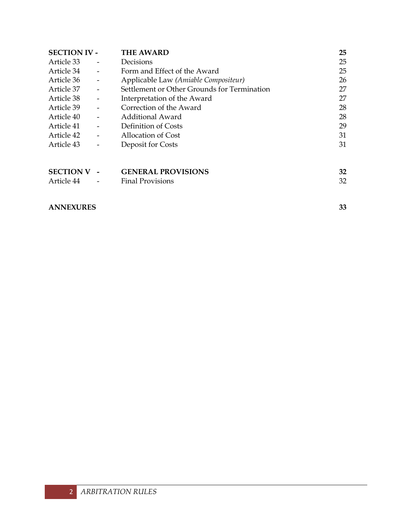| <b>SECTION IV -</b>            |                          | <b>THE AWARD</b>                                     | 25       |
|--------------------------------|--------------------------|------------------------------------------------------|----------|
| Article 33                     |                          | Decisions                                            | 25       |
| Article 34                     |                          | Form and Effect of the Award                         | 25       |
| Article 36                     |                          | Applicable Law (Amiable Compositeur)                 | 26       |
| Article 37                     | $\overline{\phantom{a}}$ | Settlement or Other Grounds for Termination          | 27       |
| Article 38                     | $\overline{a}$           | Interpretation of the Award                          | 27       |
| Article 39                     | $\overline{\phantom{a}}$ | Correction of the Award                              | 28       |
| Article 40                     | $\overline{\phantom{a}}$ | <b>Additional Award</b>                              | 28       |
| Article 41                     |                          | Definition of Costs                                  | 29       |
| Article 42                     | $\overline{a}$           | Allocation of Cost                                   | 31       |
| Article 43                     |                          | Deposit for Costs                                    | 31       |
| <b>SECTION V</b><br>Article 44 |                          | <b>GENERAL PROVISIONS</b><br><b>Final Provisions</b> | 32<br>32 |
|                                |                          |                                                      |          |

## **ANNEXURES 33**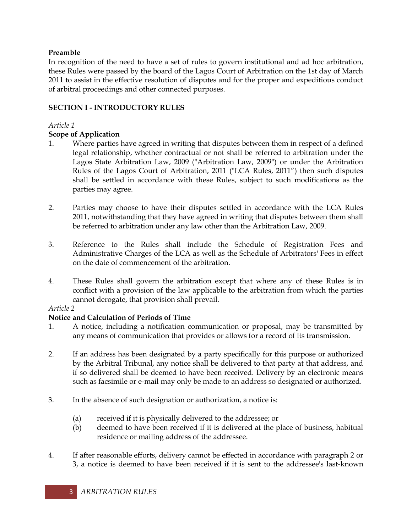## **Preamble**

In recognition of the need to have a set of rules to govern institutional and ad hoc arbitration, these Rules were passed by the board of the Lagos Court of Arbitration on the 1st day of March 2011 to assist in the effective resolution of disputes and for the proper and expeditious conduct of arbitral proceedings and other connected purposes.

## **SECTION I - INTRODUCTORY RULES**

## *Article 1*

## **Scope of Application**

- 1. Where parties have agreed in writing that disputes between them in respect of a defined legal relationship, whether contractual or not shall be referred to arbitration under the Lagos State Arbitration Law, 2009 ("Arbitration Law, 2009") or under the Arbitration Rules of the Lagos Court of Arbitration, 2011 ("LCA Rules, 2011") then such disputes shall be settled in accordance with these Rules, subject to such modifications as the parties may agree.
- 2. Parties may choose to have their disputes settled in accordance with the LCA Rules 2011, notwithstanding that they have agreed in writing that disputes between them shall be referred to arbitration under any law other than the Arbitration Law, 2009.
- 3. Reference to the Rules shall include the Schedule of Registration Fees and Administrative Charges of the LCA as well as the Schedule of Arbitrators' Fees in effect on the date of commencement of the arbitration.
- 4. These Rules shall govern the arbitration except that where any of these Rules is in conflict with a provision of the law applicable to the arbitration from which the parties cannot derogate, that provision shall prevail.

## *Article 2*

# **Notice and Calculation of Periods of Time**

- 1. A notice, including a notification communication or proposal, may be transmitted by any means of communication that provides or allows for a record of its transmission.
- 2. If an address has been designated by a party specifically for this purpose or authorized by the Arbitral Tribunal, any notice shall be delivered to that party at that address, and if so delivered shall be deemed to have been received. Delivery by an electronic means such as facsimile or e-mail may only be made to an address so designated or authorized.
- 3. In the absence of such designation or authorization, a notice is:
	- (a) received if it is physically delivered to the addressee; or
	- (b) deemed to have been received if it is delivered at the place of business, habitual residence or mailing address of the addressee.
- 4. If after reasonable efforts, delivery cannot be effected in accordance with paragraph 2 or 3, a notice is deemed to have been received if it is sent to the addressee's last-known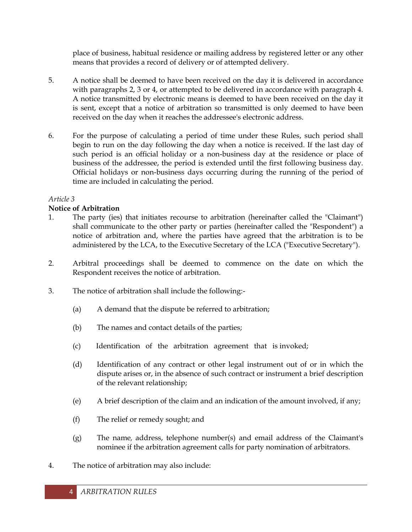place of business, habitual residence or mailing address by registered letter or any other means that provides a record of delivery or of attempted delivery.

- 5. A notice shall be deemed to have been received on the day it is delivered in accordance with paragraphs 2, 3 or 4, or attempted to be delivered in accordance with paragraph 4. A notice transmitted by electronic means is deemed to have been received on the day it is sent, except that a notice of arbitration so transmitted is only deemed to have been received on the day when it reaches the addressee's electronic address.
- 6. For the purpose of calculating a period of time under these Rules, such period shall begin to run on the day following the day when a notice is received. If the last day of such period is an official holiday or a non-business day at the residence or place of business of the addressee, the period is extended until the first following business day. Official holidays or non-business days occurring during the running of the period of time are included in calculating the period.

## *Article 3*

## **Notice of Arbitration**

- 1. The party (ies) that initiates recourse to arbitration (hereinafter called the "Claimant") shall communicate to the other party or parties (hereinafter called the "Respondent") a notice of arbitration and, where the parties have agreed that the arbitration is to be administered by the LCA, to the Executive Secretary of the LCA ("Executive Secretary").
- 2. Arbitral proceedings shall be deemed to commence on the date on which the Respondent receives the notice of arbitration.
- 3. The notice of arbitration shall include the following:-
	- (a) A demand that the dispute be referred to arbitration;
	- (b) The names and contact details of the parties;
	- (c) Identification of the arbitration agreement that is invoked;
	- (d) Identification of any contract or other legal instrument out of or in which the dispute arises or, in the absence of such contract or instrument a brief description of the relevant relationship;
	- (e) A brief description of the claim and an indication of the amount involved, if any;
	- (f) The relief or remedy sought; and
	- (g) The name*,* address, telephone number(s) and email address of the Claimant's nominee if the arbitration agreement calls for party nomination of arbitrators.
- 4. The notice of arbitration may also include: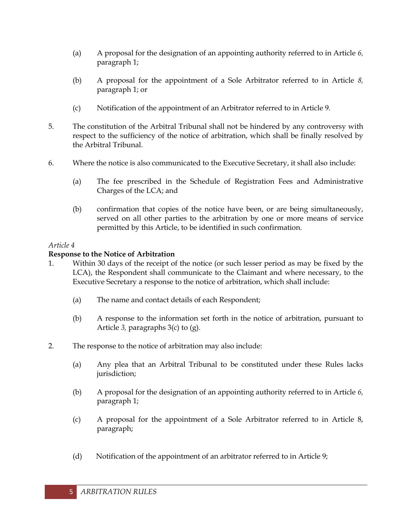- (a) A proposal for the designation of an appointing authority referred to in Article *6,*  paragraph 1;
- (b) A proposal for the appointment of a Sole Arbitrator referred to in Article *8,*  paragraph 1; or
- (c) Notification of the appointment of an Arbitrator referred to in Article 9.
- 5. The constitution of the Arbitral Tribunal shall not be hindered by any controversy with respect to the sufficiency of the notice of arbitration, which shall be finally resolved by the Arbitral Tribunal.
- 6. Where the notice is also communicated to the Executive Secretary, it shall also include:
	- (a) The fee prescribed in the Schedule of Registration Fees and Administrative Charges of the LCA; and
	- (b) confirmation that copies of the notice have been, or are being simultaneously, served on all other parties to the arbitration by one or more means of service permitted by this Article, to be identified in such confirmation.

# **Response to the Notice of Arbitration**

- 1. Within 30 days of the receipt of the notice (or such lesser period as may be fixed by the LCA), the Respondent shall communicate to the Claimant and where necessary, to the Executive Secretary a response to the notice of arbitration, which shall include:
	- (a) The name and contact details of each Respondent;
	- (b) A response to the information set forth in the notice of arbitration, pursuant to Article *3,* paragraphs 3(c) to (g).
- 2. The response to the notice of arbitration may also include:
	- (a) Any plea that an Arbitral Tribunal to be constituted under these Rules lacks jurisdiction;
	- (b) A proposal for the designation of an appointing authority referred to in Article *6,*  paragraph 1;
	- (c) A proposal for the appointment of a Sole Arbitrator referred to in Article 8, paragraph;
	- (d) Notification of the appointment of an arbitrator referred to in Article 9;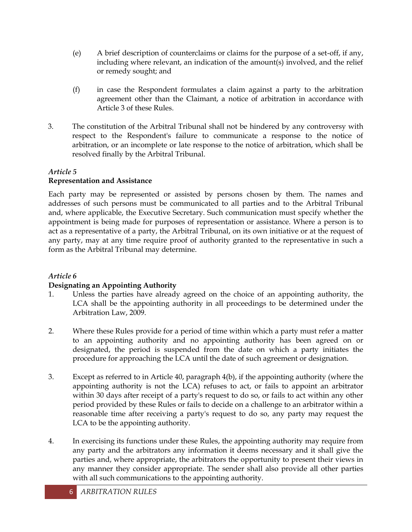- (e) A brief description of counterclaims or claims for the purpose of a set-off, if any, including where relevant, an indication of the amount(s) involved, and the relief or remedy sought; and
- (f) in case the Respondent formulates a claim against a party to the arbitration agreement other than the Claimant, a notice of arbitration in accordance with Article 3 of these Rules.
- 3. The constitution of the Arbitral Tribunal shall not be hindered by any controversy with respect to the Respondent's failure to communicate a response to the notice of arbitration, or an incomplete or late response to the notice of arbitration, which shall be resolved finally by the Arbitral Tribunal.

#### *Article 5*  **Representation and Assistance**

Each party may be represented or assisted by persons chosen by them. The names and addresses of such persons must be communicated to all parties and to the Arbitral Tribunal and, where applicable, the Executive Secretary. Such communication must specify whether the appointment is being made for purposes of representation or assistance. Where a person is to act as a representative of a party, the Arbitral Tribunal, on its own initiative or at the request of any party, may at any time require proof of authority granted to the representative in such a form as the Arbitral Tribunal may determine.

# *Article 6*

# **Designating an Appointing Authority**

- 1. Unless the parties have already agreed on the choice of an appointing authority, the LCA shall be the appointing authority in all proceedings to be determined under the Arbitration Law, 2009.
- 2. Where these Rules provide for a period of time within which a party must refer a matter to an appointing authority and no appointing authority has been agreed on or designated, the period is suspended from the date on which a party initiates the procedure for approaching the LCA until the date of such agreement or designation.
- 3. Except as referred to in Article 40, paragraph 4(b), if the appointing authority (where the appointing authority is not the LCA) refuses to act, or fails to appoint an arbitrator within 30 days after receipt of a party's request to do so, or fails to act within any other period provided by these Rules or fails to decide on a challenge to an arbitrator within a reasonable time after receiving a party's request to do so, any party may request the LCA to be the appointing authority.
- 4. In exercising its functions under these Rules, the appointing authority may require from any party and the arbitrators any information it deems necessary and it shall give the parties and, where appropriate, the arbitrators the opportunity to present their views in any manner they consider appropriate. The sender shall also provide all other parties with all such communications to the appointing authority.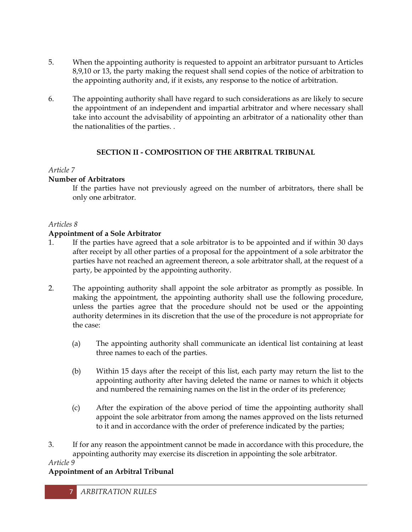- 5. When the appointing authority is requested to appoint an arbitrator pursuant to Articles 8,9,10 or 13, the party making the request shall send copies of the notice of arbitration to the appointing authority and, if it exists, any response to the notice of arbitration.
- 6. The appointing authority shall have regard to such considerations as are likely to secure the appointment of an independent and impartial arbitrator and where necessary shall take into account the advisability of appointing an arbitrator of a nationality other than the nationalities of the parties. .

## **SECTION II - COMPOSITION OF THE ARBITRAL TRIBUNAL**

# *Article 7*

# **Number of Arbitrators**

If the parties have not previously agreed on the number of arbitrators, there shall be only one arbitrator.

## *Articles 8*

# **Appointment of a Sole Arbitrator**

- 1. If the parties have agreed that a sole arbitrator is to be appointed and if within 30 days after receipt by all other parties of a proposal for the appointment of a sole arbitrator the parties have not reached an agreement thereon, a sole arbitrator shall, at the request of a party, be appointed by the appointing authority.
- 2. The appointing authority shall appoint the sole arbitrator as promptly as possible. In making the appointment, the appointing authority shall use the following procedure, unless the parties agree that the procedure should not be used or the appointing authority determines in its discretion that the use of the procedure is not appropriate for the case:
	- (a) The appointing authority shall communicate an identical list containing at least three names to each of the parties.
	- (b) Within 15 days after the receipt of this list, each party may return the list to the appointing authority after having deleted the name or names to which it objects and numbered the remaining names on the list in the order of its preference;
	- (c) After the expiration of the above period of time the appointing authority shall appoint the sole arbitrator from among the names approved on the lists returned to it and in accordance with the order of preference indicated by the parties;
- 3. If for any reason the appointment cannot be made in accordance with this procedure, the appointing authority may exercise its discretion in appointing the sole arbitrator.

# *Article 9*

# **Appointment of an Arbitral Tribunal**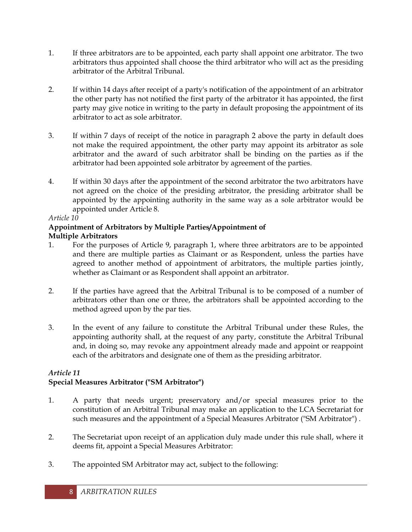- 1. If three arbitrators are to be appointed, each party shall appoint one arbitrator. The two arbitrators thus appointed shall choose the third arbitrator who will act as the presiding arbitrator of the Arbitral Tribunal.
- 2. If within 14 days after receipt of a party's notification of the appointment of an arbitrator the other party has not notified the first party of the arbitrator it has appointed, the first party may give notice in writing to the party in default proposing the appointment of its arbitrator to act as sole arbitrator.
- 3. If within 7 days of receipt of the notice in paragraph 2 above the party in default does not make the required appointment, the other party may appoint its arbitrator as sole arbitrator and the award of such arbitrator shall be binding on the parties as if the arbitrator had been appointed sole arbitrator by agreement of the parties.
- 4. If within 30 days after the appointment of the second arbitrator the two arbitrators have not agreed on the choice of the presiding arbitrator, the presiding arbitrator shall be appointed by the appointing authority in the same way as a sole arbitrator would be appointed under Article 8.

#### **Appointment of Arbitrators by Multiple Parties/Appointment of Multiple Arbitrators**

- 1. For the purposes of Article 9, paragraph 1, where three arbitrators are to be appointed and there are multiple parties as Claimant or as Respondent, unless the parties have agreed to another method of appointment of arbitrators, the multiple parties jointly, whether as Claimant or as Respondent shall appoint an arbitrator.
- 2. If the parties have agreed that the Arbitral Tribunal is to be composed of a number of arbitrators other than one or three, the arbitrators shall be appointed according to the method agreed upon by the par ties.
- 3. In the event of any failure to constitute the Arbitral Tribunal under these Rules, the appointing authority shall, at the request of any party, constitute the Arbitral Tribunal and, in doing so, may revoke any appointment already made and appoint or reappoint each of the arbitrators and designate one of them as the presiding arbitrator.

## *Article 11* **Special Measures Arbitrator ("SM Arbitrator")**

- 1. A party that needs urgent; preservatory and/or special measures prior to the constitution of an Arbitral Tribunal may make an application to the LCA Secretariat for such measures and the appointment of a Special Measures Arbitrator ("SM Arbitrator") .
- 2. The Secretariat upon receipt of an application duly made under this rule shall, where it deems fit, appoint a Special Measures Arbitrator:
- 3. The appointed SM Arbitrator may act, subject to the following: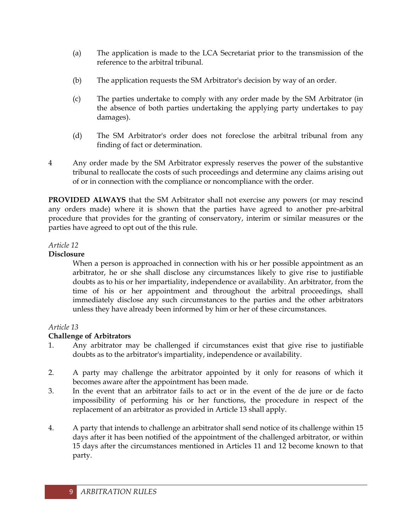- (a) The application is made to the LCA Secretariat prior to the transmission of the reference to the arbitral tribunal.
- (b) The application requests the SM Arbitrator's decision by way of an order.
- (c) The parties undertake to comply with any order made by the SM Arbitrator (in the absence of both parties undertaking the applying party undertakes to pay damages).
- (d) The SM Arbitrator's order does not foreclose the arbitral tribunal from any finding of fact or determination.
- 4 Any order made by the SM Arbitrator expressly reserves the power of the substantive tribunal to reallocate the costs of such proceedings and determine any claims arising out of or in connection with the compliance or noncompliance with the order.

**PROVIDED ALWAYS** that the SM Arbitrator shall not exercise any powers (or may rescind any orders made) where it is shown that the parties have agreed to another pre-arbitral procedure that provides for the granting of conservatory, interim or similar measures or the parties have agreed to opt out of the this rule.

## *Article 12*

## **Disclosure**

When a person is approached in connection with his or her possible appointment as an arbitrator, he or she shall disclose any circumstances likely to give rise to justifiable doubts as to his or her impartiality, independence or availability. An arbitrator, from the time of his or her appointment and throughout the arbitral proceedings, shall immediately disclose any such circumstances to the parties and the other arbitrators unless they have already been informed by him or her of these circumstances.

# *Article 13*

# **Challenge of Arbitrators**

- 1. Any arbitrator may be challenged if circumstances exist that give rise to justifiable doubts as to the arbitrator's impartiality, independence or availability.
- 2. A party may challenge the arbitrator appointed by it only for reasons of which it becomes aware after the appointment has been made.
- 3. In the event that an arbitrator fails to act or in the event of the de jure or de facto impossibility of performing his or her functions, the procedure in respect of the replacement of an arbitrator as provided in Article 13 shall apply.
- 4. A party that intends to challenge an arbitrator shall send notice of its challenge within 15 days after it has been notified of the appointment of the challenged arbitrator, or within 15 days after the circumstances mentioned in Articles 11 and 12 become known to that party.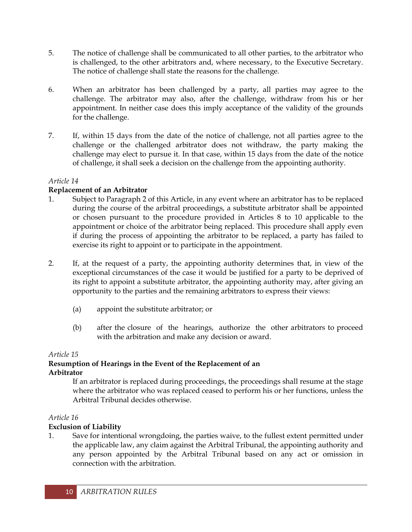- 5. The notice of challenge shall be communicated to all other parties, to the arbitrator who is challenged, to the other arbitrators and, where necessary, to the Executive Secretary. The notice of challenge shall state the reasons for the challenge.
- 6. When an arbitrator has been challenged by a party, all parties may agree to the challenge. The arbitrator may also, after the challenge, withdraw from his or her appointment. In neither case does this imply acceptance of the validity of the grounds for the challenge.
- 7. If, within 15 days from the date of the notice of challenge, not all parties agree to the challenge or the challenged arbitrator does not withdraw, the party making the challenge may elect to pursue it. In that case, within 15 days from the date of the notice of challenge, it shall seek a decision on the challenge from the appointing authority.

# **Replacement of an Arbitrator**

- 1. Subject to Paragraph 2 of this Article, in any event where an arbitrator has to be replaced during the course of the arbitral proceedings, a substitute arbitrator shall be appointed or chosen pursuant to the procedure provided in Articles 8 to 10 applicable to the appointment or choice of the arbitrator being replaced. This procedure shall apply even if during the process of appointing the arbitrator to be replaced, a party has failed to exercise its right to appoint or to participate in the appointment.
- 2. If, at the request of a party, the appointing authority determines that, in view of the exceptional circumstances of the case it would be justified for a party to be deprived of its right to appoint a substitute arbitrator, the appointing authority may, after giving an opportunity to the parties and the remaining arbitrators to express their views:
	- (a) appoint the substitute arbitrator; or
	- (b) after the closure of the hearings, authorize the other arbitrators to proceed with the arbitration and make any decision or award.

# *Article 15*

#### **Resumption of Hearings in the Event of the Replacement of an Arbitrator**

If an arbitrator is replaced during proceedings, the proceedings shall resume at the stage where the arbitrator who was replaced ceased to perform his or her functions, unless the Arbitral Tribunal decides otherwise.

## *Article 16*

# **Exclusion of Liability**

1. Save for intentional wrongdoing, the parties waive, to the fullest extent permitted under the applicable law, any claim against the Arbitral Tribunal, the appointing authority and any person appointed by the Arbitral Tribunal based on any act or omission in connection with the arbitration.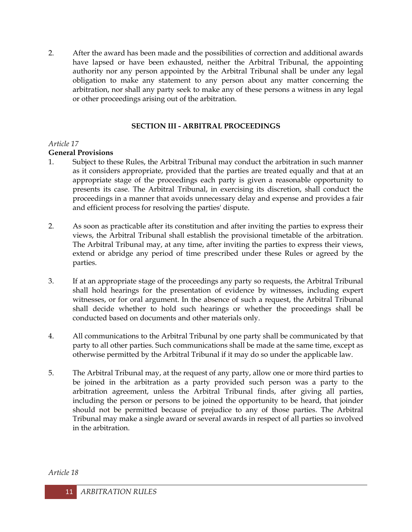2. After the award has been made and the possibilities of correction and additional awards have lapsed or have been exhausted, neither the Arbitral Tribunal, the appointing authority nor any person appointed by the Arbitral Tribunal shall be under any legal obligation to make any statement to any person about any matter concerning the arbitration, nor shall any party seek to make any of these persons a witness in any legal or other proceedings arising out of the arbitration.

## **SECTION III - ARBITRAL PROCEEDINGS**

## *Article 17*

# **General Provisions**

- 1. Subject to these Rules, the Arbitral Tribunal may conduct the arbitration in such manner as it considers appropriate, provided that the parties are treated equally and that at an appropriate stage of the proceedings each party is given a reasonable opportunity to presents its case. The Arbitral Tribunal, in exercising its discretion, shall conduct the proceedings in a manner that avoids unnecessary delay and expense and provides a fair and efficient process for resolving the parties' dispute.
- 2. As soon as practicable after its constitution and after inviting the parties to express their views, the Arbitral Tribunal shall establish the provisional timetable of the arbitration. The Arbitral Tribunal may, at any time, after inviting the parties to express their views, extend or abridge any period of time prescribed under these Rules or agreed by the parties.
- 3. If at an appropriate stage of the proceedings any party so requests, the Arbitral Tribunal shall hold hearings for the presentation of evidence by witnesses, including expert witnesses, or for oral argument. In the absence of such a request, the Arbitral Tribunal shall decide whether to hold such hearings or whether the proceedings shall be conducted based on documents and other materials only.
- 4. All communications to the Arbitral Tribunal by one party shall be communicated by that party to all other parties. Such communications shall be made at the same time, except as otherwise permitted by the Arbitral Tribunal if it may do so under the applicable law.
- 5. The Arbitral Tribunal may, at the request of any party, allow one or more third parties to be joined in the arbitration as a party provided such person was a party to the arbitration agreement, unless the Arbitral Tribunal finds, after giving all parties, including the person or persons to be joined the opportunity to be heard, that joinder should not be permitted because of prejudice to any of those parties. The Arbitral Tribunal may make a single award or several awards in respect of all parties so involved in the arbitration.

*Article 18*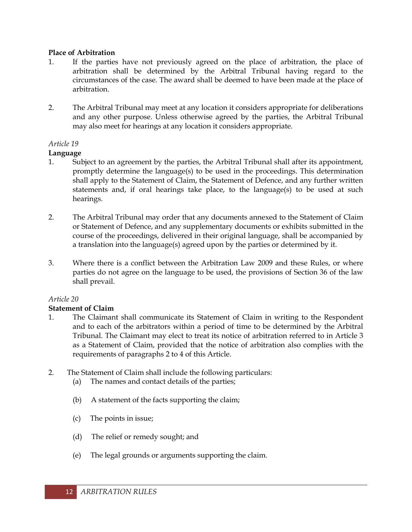#### **Place of Arbitration**

- 1. If the parties have not previously agreed on the place of arbitration, the place of arbitration shall be determined by the Arbitral Tribunal having regard to the circumstances of the case. The award shall be deemed to have been made at the place of arbitration.
- 2. The Arbitral Tribunal may meet at any location it considers appropriate for deliberations and any other purpose. Unless otherwise agreed by the parties, the Arbitral Tribunal may also meet for hearings at any location it considers appropriate.

## *Article 19*

## **Language**

- 1. Subject to an agreement by the parties, the Arbitral Tribunal shall after its appointment, promptly determine the language(s) to be used in the proceedings. This determination shall apply to the Statement of Claim, the Statement of Defence, and any further written statements and, if oral hearings take place, to the language(s) to be used at such hearings.
- 2. The Arbitral Tribunal may order that any documents annexed to the Statement of Claim or Statement of Defence, and any supplementary documents or exhibits submitted in the course of the proceedings, delivered in their original language, shall be accompanied by a translation into the language(s) agreed upon by the parties or determined by it.
- 3. Where there is a conflict between the Arbitration Law 2009 and these Rules, or where parties do not agree on the language to be used, the provisions of Section 36 of the law shall prevail.

## *Article 20*

## **Statement of Claim**

- 1. The Claimant shall communicate its Statement of Claim in writing to the Respondent and to each of the arbitrators within a period of time to be determined by the Arbitral Tribunal. The Claimant may elect to treat its notice of arbitration referred to in Article 3 as a Statement of Claim, provided that the notice of arbitration also complies with the requirements of paragraphs 2 to 4 of this Article.
- 2. The Statement of Claim shall include the following particulars:
	- (a) The names and contact details of the parties;
	- (b) A statement of the facts supporting the claim;
	- (c) The points in issue;
	- (d) The relief or remedy sought; and
	- (e) The legal grounds or arguments supporting the claim.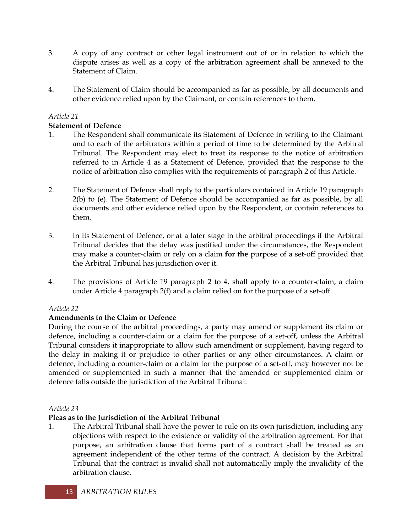- 3. A copy of any contract or other legal instrument out of or in relation to which the dispute arises as well as a copy of the arbitration agreement shall be annexed to the Statement of Claim.
- 4. The Statement of Claim should be accompanied as far as possible, by all documents and other evidence relied upon by the Claimant, or contain references to them.

# **Statement of Defence**

- 1. The Respondent shall communicate its Statement of Defence in writing to the Claimant and to each of the arbitrators within a period of time to be determined by the Arbitral Tribunal. The Respondent may elect to treat its response to the notice of arbitration referred to in Article 4 as a Statement of Defence, provided that the response to the notice of arbitration also complies with the requirements of paragraph 2 of this Article.
- 2. The Statement of Defence shall reply to the particulars contained in Article 19 paragraph 2(b) to (e). The Statement of Defence should be accompanied as far as possible, by all documents and other evidence relied upon by the Respondent, or contain references to them.
- 3. In its Statement of Defence, or at a later stage in the arbitral proceedings if the Arbitral Tribunal decides that the delay was justified under the circumstances, the Respondent may make a counter-claim or rely on a claim **for the** purpose of a set-off provided that the Arbitral Tribunal has jurisdiction over it.
- 4. The provisions of Article 19 paragraph 2 to 4, shall apply to a counter-claim, a claim under Article 4 paragraph 2(f) and a claim relied on for the purpose of a set-off.

# *Article 22*

# **Amendments to the Claim or Defence**

During the course of the arbitral proceedings, a party may amend or supplement its claim or defence, including a counter-claim or a claim for the purpose of a set-off, unless the Arbitral Tribunal considers it inappropriate to allow such amendment or supplement, having regard to the delay in making it or prejudice to other parties or any other circumstances. A claim or defence, including a counter-claim or a claim for the purpose of a set-off, may however not be amended or supplemented in such a manner that the amended or supplemented claim or defence falls outside the jurisdiction of the Arbitral Tribunal.

# *Article 23*

# **Pleas as to the Jurisdiction of the Arbitral Tribunal**

1. The Arbitral Tribunal shall have the power to rule on its own jurisdiction, including any objections with respect to the existence or validity of the arbitration agreement. For that purpose, an arbitration clause that forms part of a contract shall be treated as an agreement independent of the other terms of the contract. A decision by the Arbitral Tribunal that the contract is invalid shall not automatically imply the invalidity of the arbitration clause.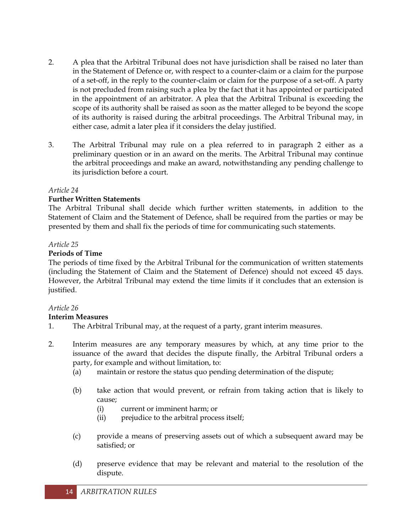- 2. A plea that the Arbitral Tribunal does not have jurisdiction shall be raised no later than in the Statement of Defence or, with respect to a counter-claim or a claim for the purpose of a set-off, in the reply to the counter-claim or claim for the purpose of a set-off. A party is not precluded from raising such a plea by the fact that it has appointed or participated in the appointment of an arbitrator. A plea that the Arbitral Tribunal is exceeding the scope of its authority shall be raised as soon as the matter alleged to be beyond the scope of its authority is raised during the arbitral proceedings. The Arbitral Tribunal may, in either case, admit a later plea if it considers the delay justified.
- 3. The Arbitral Tribunal may rule on a plea referred to in paragraph 2 either as a preliminary question or in an award on the merits. The Arbitral Tribunal may continue the arbitral proceedings and make an award, notwithstanding any pending challenge to its jurisdiction before a court.

#### **Further Written Statements**

The Arbitral Tribunal shall decide which further written statements, in addition to the Statement of Claim and the Statement of Defence, shall be required from the parties or may be presented by them and shall fix the periods of time for communicating such statements.

#### *Article 25*

#### **Periods of Time**

The periods of time fixed by the Arbitral Tribunal for the communication of written statements (including the Statement of Claim and the Statement of Defence) should not exceed 45 days. However, the Arbitral Tribunal may extend the time limits if it concludes that an extension is justified.

## *Article 26*

#### **Interim Measures**

- 1. The Arbitral Tribunal may, at the request of a party, grant interim measures.
- 2. Interim measures are any temporary measures by which, at any time prior to the issuance of the award that decides the dispute finally, the Arbitral Tribunal orders a party, for example and without limitation, to:
	- (a) maintain or restore the status quo pending determination of the dispute;
	- (b) take action that would prevent, or refrain from taking action that is likely to cause;
		- (i) current or imminent harm; or
		- (ii) prejudice to the arbitral process itself;
	- (c) provide a means of preserving assets out of which a subsequent award may be satisfied; or
	- (d) preserve evidence that may be relevant and material to the resolution of the dispute.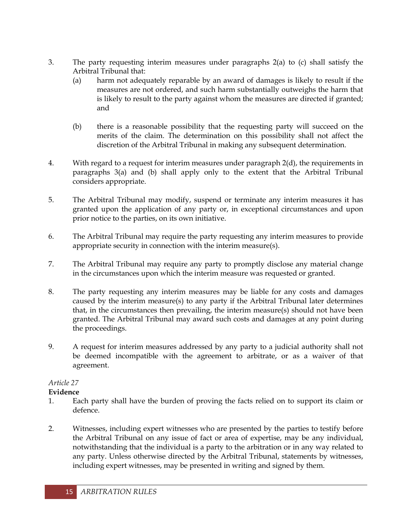- 3. The party requesting interim measures under paragraphs 2(a) to (c) shall satisfy the Arbitral Tribunal that:
	- (a) harm not adequately reparable by an award of damages is likely to result if the measures are not ordered, and such harm substantially outweighs the harm that is likely to result to the party against whom the measures are directed if granted; and
	- (b) there is a reasonable possibility that the requesting party will succeed on the merits of the claim. The determination on this possibility shall not affect the discretion of the Arbitral Tribunal in making any subsequent determination.
- 4. With regard to a request for interim measures under paragraph 2(d), the requirements in paragraphs 3(a) and (b) shall apply only to the extent that the Arbitral Tribunal considers appropriate.
- 5. The Arbitral Tribunal may modify, suspend or terminate any interim measures it has granted upon the application of any party or, in exceptional circumstances and upon prior notice to the parties, on its own initiative.
- 6. The Arbitral Tribunal may require the party requesting any interim measures to provide appropriate security in connection with the interim measure(s).
- 7. The Arbitral Tribunal may require any party to promptly disclose any material change in the circumstances upon which the interim measure was requested or granted.
- 8. The party requesting any interim measures may be liable for any costs and damages caused by the interim measure(s) to any party if the Arbitral Tribunal later determines that, in the circumstances then prevailing, the interim measure(s) should not have been granted. The Arbitral Tribunal may award such costs and damages at any point during the proceedings.
- 9. A request for interim measures addressed by any party to a judicial authority shall not be deemed incompatible with the agreement to arbitrate, or as a waiver of that agreement.

# **Evidence**

- 1. Each party shall have the burden of proving the facts relied on to support its claim or defence.
- 2. Witnesses, including expert witnesses who are presented by the parties to testify before the Arbitral Tribunal on any issue of fact or area of expertise, may be any individual, notwithstanding that the individual is a party to the arbitration or in any way related to any party. Unless otherwise directed by the Arbitral Tribunal, statements by witnesses, including expert witnesses, may be presented in writing and signed by them.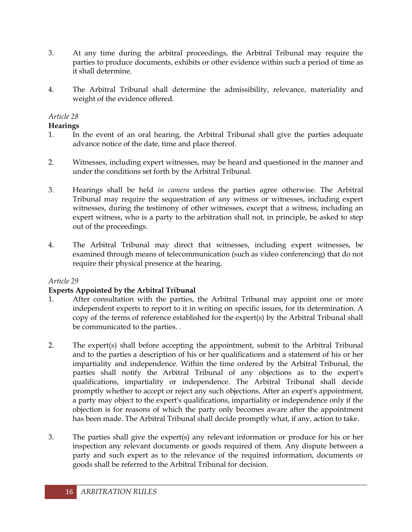- 3. At any time during the arbitral proceedings, the Arbitral Tribunal may require the parties to produce documents, exhibits or other evidence within such a period of time as it shall determine.
- 4. The Arbitral Tribunal shall determine the admissibility, relevance, materiality and weight of the evidence offered.

## **Hearings**

- 1. In the event of an oral hearing, the Arbitral Tribunal shall give the parties adequate advance notice of the date, time and place thereof.
- 2. Witnesses, including expert witnesses, may be heard and questioned in the manner and under the conditions set forth by the Arbitral Tribunal.
- 3. Hearings shall be held *in camera* unless the parties agree otherwise. The Arbitral Tribunal may require the sequestration of any witness or witnesses, including expert witnesses, during the testimony of other witnesses, except that a witness, including an expert witness, who is a party to the arbitration shall not, in principle, be asked to step out of the proceedings.
- 4. The Arbitral Tribunal may direct that witnesses, including expert witnesses, be examined through means of telecommunication (such as video conferencing) that do not require their physical presence at the hearing.

## *Article 29*

# **Experts Appointed by the Arbitral Tribunal**

- 1. After consultation with the parties, the Arbitral Tribunal may appoint one or more independent experts to report to it in writing on specific issues, for its determination. A copy of the terms of reference established for the expert(s) by the Arbitral Tribunal shall be communicated to the parties. .
- 2. The expert(s) shall before accepting the appointment, submit to the Arbitral Tribunal and to the parties a description of his or her qualifications and a statement of his or her impartiality and independence. Within the time ordered by the Arbitral Tribunal, the parties shall notify the Arbitral Tribunal of any objections as to the expert's qualifications, impartiality or independence. The Arbitral Tribunal shall decide promptly whether to accept or reject any such objections. After an expert's appointment, a party may object to the expert's qualifications, impartiality or independence only if the objection is for reasons of which the party only becomes aware after the appointment has been made. The Arbitral Tribunal shall decide promptly what, if any, action to take.
- 3. The parties shall give the expert(s) any relevant information or produce for his or her inspection any relevant documents or goods required of them. Any dispute between a party and such expert as to the relevance of the required information, documents or goods shall be referred to the Arbitral Tribunal for decision.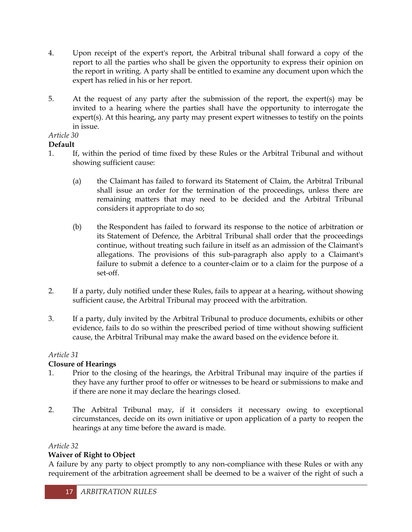- 4. Upon receipt of the expert's report, the Arbitral tribunal shall forward a copy of the report to all the parties who shall be given the opportunity to express their opinion on the report in writing. A party shall be entitled to examine any document upon which the expert has relied in his or her report.
- 5. At the request of any party after the submission of the report, the expert(s) may be invited to a hearing where the parties shall have the opportunity to interrogate the expert(s). At this hearing, any party may present expert witnesses to testify on the points in issue.

# **Default**

- 1. If, within the period of time fixed by these Rules or the Arbitral Tribunal and without showing sufficient cause:
	- (a) the Claimant has failed to forward its Statement of Claim, the Arbitral Tribunal shall issue an order for the termination of the proceedings, unless there are remaining matters that may need to be decided and the Arbitral Tribunal considers it appropriate to do so;
	- (b) the Respondent has failed to forward its response to the notice of arbitration or its Statement of Defence, the Arbitral Tribunal shall order that the proceedings continue, without treating such failure in itself as an admission of the Claimant's allegations. The provisions of this sub-paragraph also apply to a Claimant's failure to submit a defence to a counter-claim or to a claim for the purpose of a set-off.
- 2. If a party, duly notified under these Rules, fails to appear at a hearing, without showing sufficient cause, the Arbitral Tribunal may proceed with the arbitration.
- 3. If a party, duly invited by the Arbitral Tribunal to produce documents, exhibits or other evidence, fails to do so within the prescribed period of time without showing sufficient cause, the Arbitral Tribunal may make the award based on the evidence before it.

# *Article 31*

# **Closure of Hearings**

- 1. Prior to the closing of the hearings, the Arbitral Tribunal may inquire of the parties if they have any further proof to offer or witnesses to be heard or submissions to make and if there are none it may declare the hearings closed.
- 2. The Arbitral Tribunal may, if it considers it necessary owing to exceptional circumstances, decide on its own initiative or upon application of a party to reopen the hearings at any time before the award is made.

# *Article 32*

# **Waiver of Right to Object**

A failure by any party to object promptly to any non-compliance with these Rules or with any requirement of the arbitration agreement shall be deemed to be a waiver of the right of such a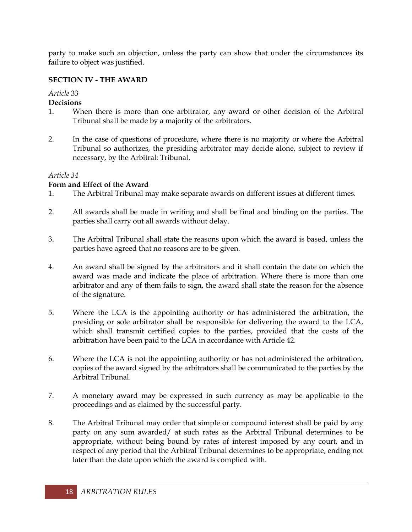party to make such an objection, unless the party can show that under the circumstances its failure to object was justified.

## **SECTION IV - THE AWARD**

# *Article* 33

## **Decisions**

- 1. When there is more than one arbitrator, any award or other decision of the Arbitral Tribunal shall be made by a majority of the arbitrators.
- 2. In the case of questions of procedure, where there is no majority or where the Arbitral Tribunal so authorizes, the presiding arbitrator may decide alone, subject to review if necessary, by the Arbitral: Tribunal.

## *Article 34*

## **Form and Effect of the Award**

- 1. The Arbitral Tribunal may make separate awards on different issues at different times.
- 2. All awards shall be made in writing and shall be final and binding on the parties. The parties shall carry out all awards without delay.
- 3. The Arbitral Tribunal shall state the reasons upon which the award is based, unless the parties have agreed that no reasons are to be given.
- 4. An award shall be signed by the arbitrators and it shall contain the date on which the award was made and indicate the place of arbitration. Where there is more than one arbitrator and any of them fails to sign, the award shall state the reason for the absence of the signature.
- 5. Where the LCA is the appointing authority or has administered the arbitration, the presiding or sole arbitrator shall be responsible for delivering the award to the LCA, which shall transmit certified copies to the parties, provided that the costs of the arbitration have been paid to the LCA in accordance with Article 42.
- 6. Where the LCA is not the appointing authority or has not administered the arbitration, copies of the award signed by the arbitrators shall be communicated to the parties by the Arbitral Tribunal.
- 7. A monetary award may be expressed in such currency as may be applicable to the proceedings and as claimed by the successful party.
- 8. The Arbitral Tribunal may order that simple or compound interest shall be paid by any party on any sum awarded/ at such rates as the Arbitral Tribunal determines to be appropriate, without being bound by rates of interest imposed by any court, and in respect of any period that the Arbitral Tribunal determines to be appropriate, ending not later than the date upon which the award is complied with.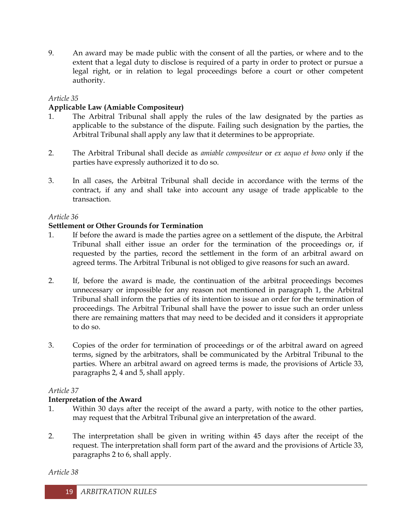9. An award may be made public with the consent of all the parties, or where and to the extent that a legal duty to disclose is required of a party in order to protect or pursue a legal right, or in relation to legal proceedings before a court or other competent authority.

## *Article 35*

## **Applicable Law (Amiable Compositeur)**

- 1. The Arbitral Tribunal shall apply the rules of the law designated by the parties as applicable to the substance of the dispute. Failing such designation by the parties, the Arbitral Tribunal shall apply any law that it determines to be appropriate.
- 2. The Arbitral Tribunal shall decide as *amiable compositeur* or *ex aequo et bono* only if the parties have expressly authorized it to do so.
- 3. In all cases, the Arbitral Tribunal shall decide in accordance with the terms of the contract, if any and shall take into account any usage of trade applicable to the transaction.

## *Article 36*

## **Settlement or Other Grounds for Termination**

- 1. If before the award is made the parties agree on a settlement of the dispute, the Arbitral Tribunal shall either issue an order for the termination of the proceedings or, if requested by the parties, record the settlement in the form of an arbitral award on agreed terms. The Arbitral Tribunal is not obliged to give reasons for such an award.
- 2. If, before the award is made, the continuation of the arbitral proceedings becomes unnecessary or impossible for any reason not mentioned in paragraph 1, the Arbitral Tribunal shall inform the parties of its intention to issue an order for the termination of proceedings. The Arbitral Tribunal shall have the power to issue such an order unless there are remaining matters that may need to be decided and it considers it appropriate to do so.
- 3. Copies of the order for termination of proceedings or of the arbitral award on agreed terms, signed by the arbitrators, shall be communicated by the Arbitral Tribunal to the parties. Where an arbitral award on agreed terms is made, the provisions of Article 33, paragraphs 2, 4 and 5, shall apply.

## *Article 37*

## **Interpretation of the Award**

- 1. Within 30 days after the receipt of the award a party, with notice to the other parties, may request that the Arbitral Tribunal give an interpretation of the award.
- 2. The interpretation shall be given in writing within 45 days after the receipt of the request. The interpretation shall form part of the award and the provisions of Article 33, paragraphs 2 to 6, shall apply.

## *Article 38*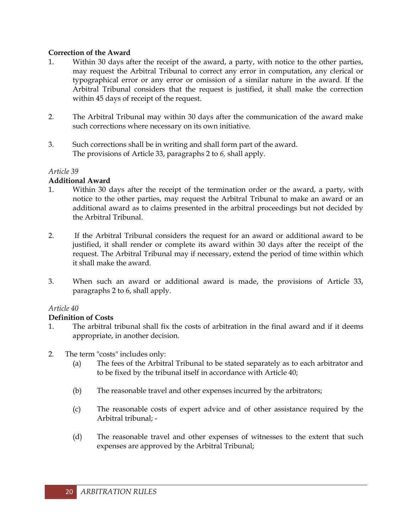#### **Correction of the Award**

- 1. Within 30 days after the receipt of the award, a party, with notice to the other parties, may request the Arbitral Tribunal to correct any error in computation, any clerical or typographical error or any error or omission of a similar nature in the award. If the Arbitral Tribunal considers that the request is justified, it shall make the correction within 45 days of receipt of the request.
- 2. The Arbitral Tribunal may within 30 days after the communication of the award make such corrections where necessary on its own initiative.
- 3. Such corrections shall be in writing and shall form part of the award. The provisions of Article 33, paragraphs 2 to *6,* shall apply.

#### *Article 39*

## **Additional Award**

- 1. Within 30 days after the receipt of the termination order or the award, a party, with notice to the other parties, may request the Arbitral Tribunal to make an award or an additional award as to claims presented in the arbitral proceedings but not decided by the Arbitral Tribunal.
- 2. If the Arbitral Tribunal considers the request for an award or additional award to be justified, it shall render or complete its award within 30 days after the receipt of the request. The Arbitral Tribunal may if necessary, extend the period of time within which it shall make the award.
- 3. When such an award or additional award is made, the provisions of Article 33, paragraphs 2 to 6, shall apply.

## *Article 40*

## **Definition of Costs**

- 1. The arbitral tribunal shall fix the costs of arbitration in the final award and if it deems appropriate, in another decision.
- 2. The term "costs" includes only:
	- (a) The fees of the Arbitral Tribunal to be stated separately as to each arbitrator and to be fixed by the tribunal itself in accordance with Article 40;
	- (b) The reasonable travel and other expenses incurred by the arbitrators;
	- (c) The reasonable costs of expert advice and of other assistance required by the Arbitral tribunal; -
	- (d) The reasonable travel and other expenses of witnesses to the extent that such expenses are approved by the Arbitral Tribunal;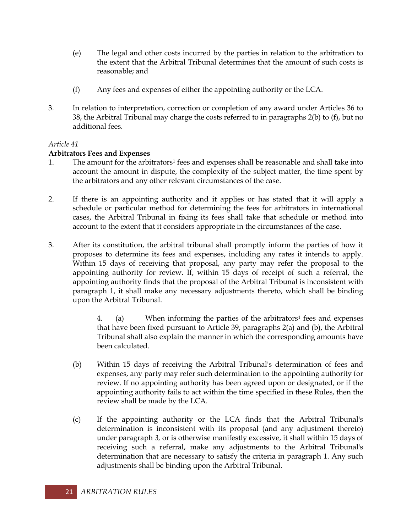- (e) The legal and other costs incurred by the parties in relation to the arbitration to the extent that the Arbitral Tribunal determines that the amount of such costs is reasonable; and
- (f) Any fees and expenses of either the appointing authority or the LCA.
- 3. In relation to interpretation, correction or completion of any award under Articles 36 to 38, the Arbitral Tribunal may charge the costs referred to in paragraphs 2(b) to (f), but no additional fees.

## **Arbitrators Fees and Expenses**

- 1. The amount for the arbitrators<sup>1</sup> fees and expenses shall be reasonable and shall take into account the amount in dispute, the complexity of the subject matter, the time spent by the arbitrators and any other relevant circumstances of the case.
- 2. If there is an appointing authority and it applies or has stated that it will apply a schedule or particular method for determining the fees for arbitrators in international cases, the Arbitral Tribunal in fixing its fees shall take that schedule or method into account to the extent that it considers appropriate in the circumstances of the case.
- 3. After its constitution, the arbitral tribunal shall promptly inform the parties of how it proposes to determine its fees and expenses, including any rates it intends to apply. Within 15 days of receiving that proposal, any party may refer the proposal to the appointing authority for review. If, within 15 days of receipt of such a referral, the appointing authority finds that the proposal of the Arbitral Tribunal is inconsistent with paragraph 1, it shall make any necessary adjustments thereto, which shall be binding upon the Arbitral Tribunal.

4. (a) When informing the parties of the arbitrators<sup>1</sup> fees and expenses that have been fixed pursuant to Article 39, paragraphs 2(a) and (b), the Arbitral Tribunal shall also explain the manner in which the corresponding amounts have been calculated.

- (b) Within 15 days of receiving the Arbitral Tribunal's determination of fees and expenses, any party may refer such determination to the appointing authority for review. If no appointing authority has been agreed upon or designated, or if the appointing authority fails to act within the time specified in these Rules, then the review shall be made by the LCA.
- (c) If the appointing authority or the LCA finds that the Arbitral Tribunal's determination is inconsistent with its proposal (and any adjustment thereto) under paragraph *3,* or is otherwise manifestly excessive, it shall within 15 days of receiving such a referral, make any adjustments to the Arbitral Tribunal's determination that are necessary to satisfy the criteria in paragraph 1. Any such adjustments shall be binding upon the Arbitral Tribunal.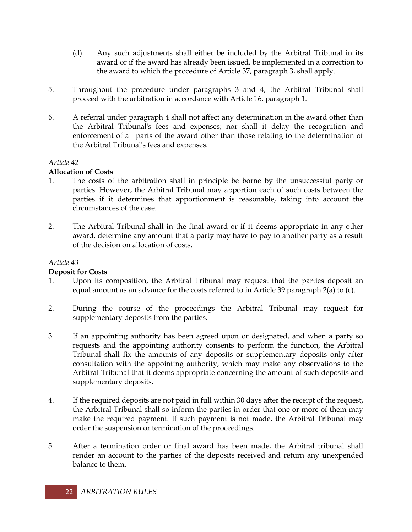- (d) Any such adjustments shall either be included by the Arbitral Tribunal in its award or if the award has already been issued, be implemented in a correction to the award to which the procedure of Article 37, paragraph 3, shall apply.
- 5. Throughout the procedure under paragraphs 3 and 4, the Arbitral Tribunal shall proceed with the arbitration in accordance with Article 16, paragraph 1.
- 6. A referral under paragraph 4 shall not affect any determination in the award other than the Arbitral Tribunal's fees and expenses; nor shall it delay the recognition and enforcement of all parts of the award other than those relating to the determination of the Arbitral Tribunal's fees and expenses.

## **Allocation of Costs**

- 1. The costs of the arbitration shall in principle be borne by the unsuccessful party or parties. However, the Arbitral Tribunal may apportion each of such costs between the parties if it determines that apportionment is reasonable, taking into account the circumstances of the case.
- 2. The Arbitral Tribunal shall in the final award or if it deems appropriate in any other award, determine any amount that a party may have to pay to another party as a result of the decision on allocation of costs.

## *Article 43*

## **Deposit for Costs**

- 1. Upon its composition, the Arbitral Tribunal may request that the parties deposit an equal amount as an advance for the costs referred to in Article 39 paragraph 2(a) to (c).
- 2. During the course of the proceedings the Arbitral Tribunal may request for supplementary deposits from the parties.
- 3. If an appointing authority has been agreed upon or designated, and when a party so requests and the appointing authority consents to perform the function, the Arbitral Tribunal shall fix the amounts of any deposits or supplementary deposits only after consultation with the appointing authority, which may make any observations to the Arbitral Tribunal that it deems appropriate concerning the amount of such deposits and supplementary deposits.
- 4. If the required deposits are not paid in full within 30 days after the receipt of the request, the Arbitral Tribunal shall so inform the parties in order that one or more of them may make the required payment. If such payment is not made, the Arbitral Tribunal may order the suspension or termination of the proceedings.
- 5. After a termination order or final award has been made, the Arbitral tribunal shall render an account to the parties of the deposits received and return any unexpended balance to them.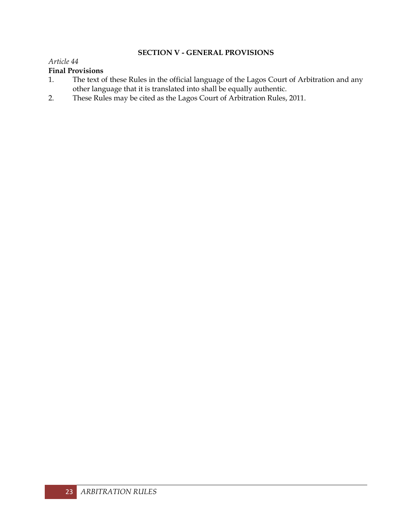## **SECTION V - GENERAL PROVISIONS**

#### *Article 44*

## **Final Provisions**

- 1. The text of these Rules in the official language of the Lagos Court of Arbitration and any other language that it is translated into shall be equally authentic.
- 2. These Rules may be cited as the Lagos Court of Arbitration Rules, 2011.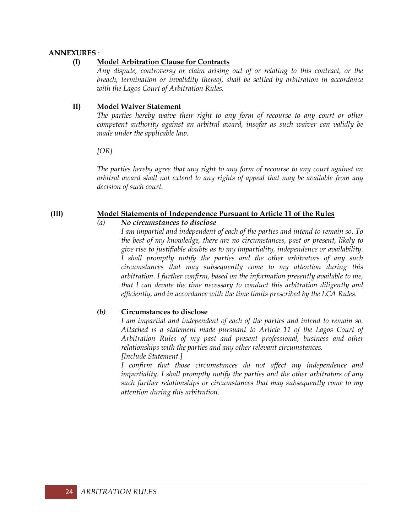#### **ANNEXURES** :

#### **(I) Model Arbitration Clause for Contracts**

*Any dispute, controversy or claim arising out of or relating to this contract, or the breach, termination or invalidity thereof, shall be settled by arbitration in accordance with the Lagos Court of Arbitration Rules.*

#### **II) Model Waiver Statement**

*The parties hereby waive their right to any form of recourse to any court or other competent authority against an arbitral award, insofar as such waiver can validly be made under the applicable law.*

*[OR]*

*The parties hereby agree that any right to any form of recourse to any court against an arbitral award shall not extend to any rights of appeal that may be available from any decision of such court.*

#### **(Ill) Model Statements of Independence Pursuant to Article 11 of the Rules**

#### *(a) No circumstances to disclose*

*I am impartial and independent of each of the parties and intend to remain so. To the best of my knowledge, there are no circumstances, past or present, likely to give rise to justifiable doubts as to my impartiality, independence or availability. I shall promptly notify the parties and the other arbitrators of any such circumstances that may subsequently come to my attention during this arbitration. I further confirm, based on the information presently available to me, that I can devote the time necessary to conduct this arbitration diligently and efficiently, and in accordance with the time limits prescribed by the LCA Rules.*

## *(b)* **Circumstances to disclose**

*I am impartial and independent of each of the parties and intend to remain so. Attached is a statement made pursuant to Article 11 of the Lagos Court of Arbitration Rules of my past and present professional, business and other relationships with the parties and any other relevant circumstances. [Include Statement.]*

*I confirm that those circumstances do not affect my independence and impartiality. I shall promptly notify the parties and the other arbitrators of any such further relationships or circumstances that may subsequently come to my attention during this arbitration.*